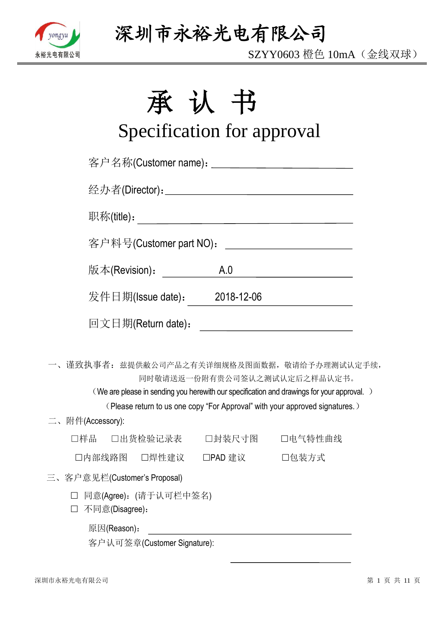

SZYY0603 橙色 10mA(金线双球)

# 承认书

# Specification for approval

|                                           |                         |                              | 客户名称(Customer name): _____________________________                                                                                                                                                                                                        |  |
|-------------------------------------------|-------------------------|------------------------------|-----------------------------------------------------------------------------------------------------------------------------------------------------------------------------------------------------------------------------------------------------------|--|
|                                           |                         |                              |                                                                                                                                                                                                                                                           |  |
|                                           |                         |                              |                                                                                                                                                                                                                                                           |  |
|                                           | 客户料号(Customer part NO): |                              | <u> 1980 - Johann Barbara, martin a</u>                                                                                                                                                                                                                   |  |
|                                           | 版本(Revision):           | A.0                          | <u> 1989 - Johann Barbara, martxa a</u>                                                                                                                                                                                                                   |  |
|                                           |                         | 发件日期(Issue date): 2018-12-06 |                                                                                                                                                                                                                                                           |  |
|                                           | 回文日期(Return date):      |                              | <u> 1989 - Jan Barbara Barat, politik eta politik eta politik eta politik eta politik eta politik eta politik e</u>                                                                                                                                       |  |
|                                           |                         |                              | 一、谨致执事者: 兹提供敝公司产品之有关详细规格及图面数据, 敬请给予办理测试认定手续,<br>同时敬请送返一份附有贵公司签认之测试认定后之样品认定书。<br>(We are please in sending you herewith our specification and drawings for your approval.)<br>(Please return to us one copy "For Approval" with your approved signatures.) |  |
| 二、附件(Accessory):                          |                         |                              |                                                                                                                                                                                                                                                           |  |
|                                           |                         |                              | □样品  □出货检验记录表   □封装尺寸图   □电气特性曲线                                                                                                                                                                                                                          |  |
|                                           |                         | □内部线路图 □焊性建议 □PAD 建议 □□包装方式  |                                                                                                                                                                                                                                                           |  |
| 三、客户意见栏(Customer's Proposal)              |                         |                              |                                                                                                                                                                                                                                                           |  |
| □ 同意(Agree): (请于认可栏中签名)<br>不同意(Disagree): |                         |                              |                                                                                                                                                                                                                                                           |  |
| 原因(Reason):                               |                         |                              |                                                                                                                                                                                                                                                           |  |

客户认可签章(Customer Signature):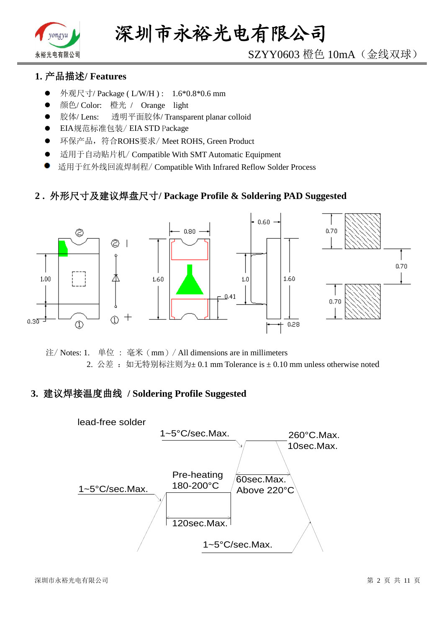

# SZYY0603 橙色 10mA(金线双球)

## **1.** 产品描述**/ Features**

- 外观尺寸/ Package ( L/W/H ) : 1.6\*0.8\*0.6 mm
- 颜色/ Color: 橙光 / Orange light
- 胶体/ Lens: 透明平面胶体/ Transparent planar colloid
- EIA规范标准包装/ EIA STD Package
- **●** 环保产品,符合ROHS要求/Meet ROHS, Green Product
- 适用于自动贴片机/ Compatible With SMT Automatic Equipment
- 适用于红外线回流焊制程/ Compatible With Infrared Reflow Solder Process

#### **2 .** 外形尺寸及建议焊盘尺寸**/ Package Profile & Soldering PAD Suggested**



注/ Notes: 1. 单位 : 毫米(mm)/ All dimensions are in millimeters 2. 公差: 如无特别标注则为±0.1 mm Tolerance is ±0.10 mm unless otherwise noted

#### **3.** 建议焊接温度曲线 **/ Soldering Profile Suggested**

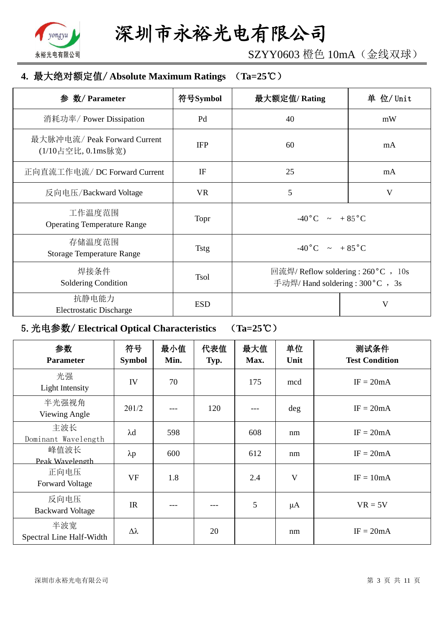

SZYY0603 橙色 10mA(金线双球)

## **4.** 最大绝对额定值/ **Absolute Maximum Ratings** (**Ta=25**℃)

| 参 数/ Parameter                                     | 符号Symbol    | 最大额定值/Rating                                                             | 单 位/ Unit |
|----------------------------------------------------|-------------|--------------------------------------------------------------------------|-----------|
| 消耗功率/ Power Dissipation                            | Pd          | 40                                                                       | mW        |
| 最大脉冲电流/ Peak Forward Current<br>(1/10占空比, 0.1ms脉宽) | <b>IFP</b>  | 60                                                                       | mA        |
| 正向直流工作电流/DC Forward Current                        | IF          | 25                                                                       | mA        |
| 反向电压/Backward Voltage                              | <b>VR</b>   | 5                                                                        | V         |
| 工作温度范围<br><b>Operating Temperature Range</b>       | Topr        | $-40\degree C$ $\sim +85\degree C$                                       |           |
| 存储温度范围<br><b>Storage Temperature Range</b>         | <b>Tstg</b> | $-40\degree C$ $\sim +85\degree C$                                       |           |
| 焊接条件<br>Soldering Condition                        | <b>Tsol</b> | 回流焊/ Reflow soldering : 260 °C , 10s<br>手动焊/ Hand soldering : 300 °C, 3s |           |
| 抗静电能力<br><b>Electrostatic Discharge</b>            | <b>ESD</b>  |                                                                          | V         |

# 5.光电参数/ **Electrical Optical Characteristics** (**Ta=25**℃)

| 参数<br><b>Parameter</b>          | 符号<br><b>Symbol</b> | 最小值<br>Min. | 代表值<br>Typ. | 最大值<br>Max. | 单位<br>Unit              | 测试条件<br><b>Test Condition</b> |
|---------------------------------|---------------------|-------------|-------------|-------------|-------------------------|-------------------------------|
| 光强<br>Light Intensity           | IV                  | 70          |             | 175         | mcd                     | $IF = 20mA$                   |
| 半光强视角<br>Viewing Angle          | $2\theta$ 1/2       |             | 120         |             | $\deg$                  | $IF = 20mA$                   |
| 主波长<br>Dominant Wavelength      | $\lambda$ d         | 598         |             | 608         | nm                      | $IF = 20mA$                   |
| 峰值波长<br>Peak Wavelength         | $\lambda p$         | 600         |             | 612         | nm                      | $IF = 20mA$                   |
| 正向电压<br><b>Forward Voltage</b>  | <b>VF</b>           | 1.8         |             | 2.4         | $\overline{\mathsf{V}}$ | $IF = 10mA$                   |
| 反向电压<br><b>Backward Voltage</b> | IR                  |             |             | 5           | $\mu A$                 | $VR = 5V$                     |
| 半波宽<br>Spectral Line Half-Width | $\Delta \lambda$    |             | 20          |             | nm                      | $IF = 20mA$                   |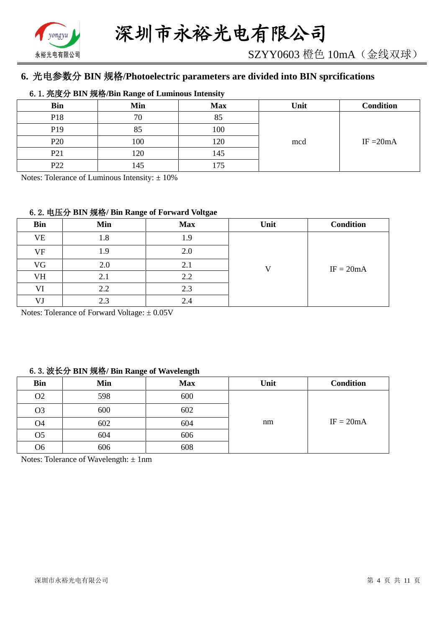

# **6.** 光电参数分 **BIN** 规格**/Photoelectric parameters are divided into BIN sprcifications**

#### 6.1.亮度分 **BIN** 规格**/Bin Range of Luminous Intensity**

| <b>Bin</b>      | Min | <b>Max</b>     | Unit | <b>Condition</b> |
|-----------------|-----|----------------|------|------------------|
| P18             | 70  | $Q \leq$<br>റാ |      |                  |
| P <sub>19</sub> | 85  | 100            |      |                  |
| P <sub>20</sub> | 100 | 120            | mcd  | IF $=20mA$       |
| P <sub>21</sub> | 120 | 145            |      |                  |
| P <sub>22</sub> | 145 | .75            |      |                  |

Notes: Tolerance of Luminous Intensity:  $\pm 10\%$ 

#### 6.2.电压分 **BIN** 规格**/ Bin Range of Forward Voltgae**

| <b>Bin</b> | Min | <b>Max</b> | Unit | <b>Condition</b> |
|------------|-----|------------|------|------------------|
| <b>VE</b>  | 1.8 | 1.9        |      |                  |
| VF         | 1.9 | 2.0        |      |                  |
| VG         | 2.0 | 2.1        | T 7  | $IF = 20mA$      |
| VH         | 2.1 | 2.2        |      |                  |
| VI         | 2.2 | 2.3        |      |                  |
| VJ         | 2.3 | 2.4        |      |                  |

Notes: Tolerance of Forward Voltage: ±0.05V

#### 6.3.波长分 **BIN** 规格**/ Bin Range of Wavelength**

| <b>Bin</b>     | Min | <b>Max</b> | Unit | <b>Condition</b> |
|----------------|-----|------------|------|------------------|
| O <sub>2</sub> | 598 | 600        |      |                  |
| O <sub>3</sub> | 600 | 602        |      |                  |
| O <sub>4</sub> | 602 | 604        | nm   | $IF = 20mA$      |
| O <sub>5</sub> | 604 | 606        |      |                  |
| Ο6             | 606 | 608        |      |                  |

Notes: Tolerance of Wavelength: ±1nm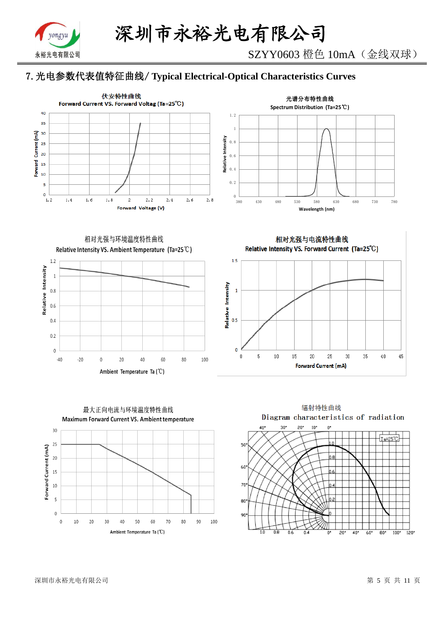

# 7.光电参数代表值特征曲线/ **Typical Electrical-Optical Characteristics Curves**





相对光强与环境温度特性曲线 Relative Intensity VS. Ambient Temperature (Ta=25°C)



最大正向电流与环境温度特性曲线 Maximum Forward Current VS. Ambient temperature  $30$ 25 Forward Current (mA)  $20$ 15  $10$  $\overline{\mathbf{5}}$  $\overline{0}$  $10$ 80 90 100  $\overline{0}$ 20 30 40 50 60 70

Ambient Temperature Ta (°C)

相对光强与电流特性曲线 Relative Intensity VS. Forward Current (Ta=25°C)



辐射特性曲线 Diagram characteristics of radiation  $10^{\circ}$  $40<sup>4</sup>$ วิก  $20$ <sup>\*</sup>  $\mathbf{u}^*$ Ta=25°C 50 60  $70$ 80 90 កាំគ  $\overline{0.6}$  $\overline{20}$  $40^{\circ}$  $60^{\circ}$  $\overline{80}$  $100*$  $\frac{1}{20}$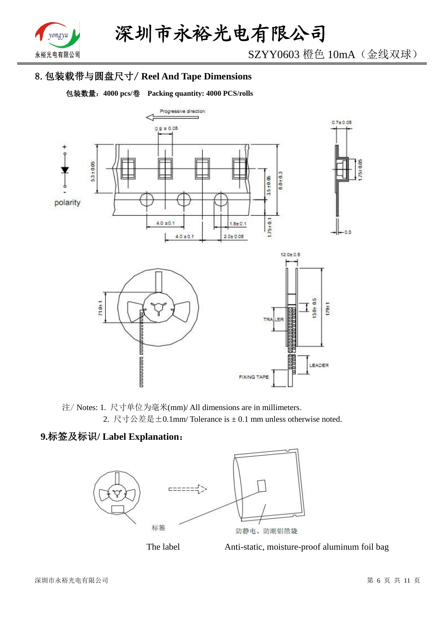

SZYY0603 橙色 10mA(金线双球)

# 8.包装载带与圆盘尺寸/ **Reel And Tape Dimensions**

包装数量:**4000 pcs/**卷 **Packing quantity: 4000 PCS/rolls**



注/ Notes: 1. 尺寸单位为毫米(mm)/ All dimensions are in millimeters. 2. 尺寸公差是±0.1mm/ Tolerance is ± 0.1 mm unless otherwise noted.

# **9.**标签及标识**/ Label Explanation**:





The label Anti-static, moisture-proof aluminum foil bag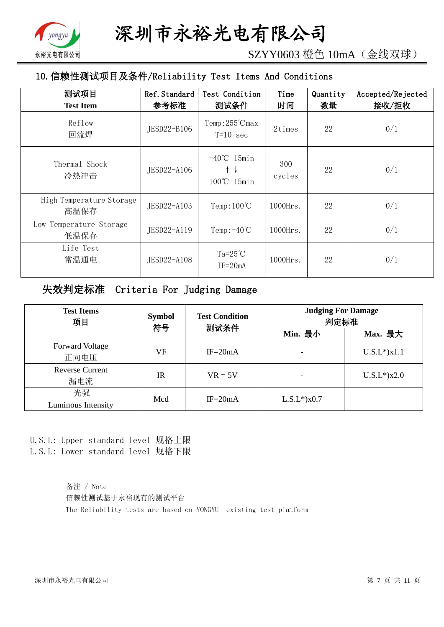

SZYY0603 橙色 10mA(金线双球)

# 10.信赖性测试项目及条件/Reliability Test Items And Conditions

| 测试项目<br><b>Test Item</b>         | Ref. Standard<br>参考标准 | Test Condition<br>测试条件                | Time<br>时间    | Quantity<br>数量 | Accepted/Rejected<br>接收/拒收 |
|----------------------------------|-----------------------|---------------------------------------|---------------|----------------|----------------------------|
| Reflow<br>回流焊                    | JESD22-B106           | $Temp:255^{\circ}C$ max<br>$T=10$ sec | 2times        | 22             | 0/1                        |
| Thermal Shock<br>冷热冲击            | JESD22-A106           | $-40^{\circ}$ C 15min<br>100℃ 15min   | 300<br>cycles | 22             | 0/1                        |
| High Temperature Storage<br>高温保存 | JESD22-A103           | Temp: $100^{\circ}$ C                 | $1000$ Hrs.   | 22             | 0/1                        |
| Low Temperature Storage<br>低温保存  | JESD22-A119           | Temp: $-40^{\circ}$ C                 | $1000$ Hrs.   | 22             | 0/1                        |
| Life Test<br>常温通电                | JESD22-A108           | Ta= $25^{\circ}$ C<br>$IF = 20mA$     | $1000$ Hrs.   | 22             | 0/1                        |

# 失效判定标准 Criteria For Judging Damage

| <b>Test Items</b><br>项目        | <b>Symbol</b><br>符号 | <b>Test Condition</b><br>测试条件 | <b>Judging For Damage</b><br>判定标准 |                    |
|--------------------------------|---------------------|-------------------------------|-----------------------------------|--------------------|
|                                |                     |                               | Min. 最小                           | Max. 最大            |
| <b>Forward Voltage</b><br>正向电压 | VF                  | $IF = 20mA$                   |                                   | $U.S.L^*$ ) $x1.1$ |
| <b>Reverse Current</b><br>漏电流  | <b>IR</b>           | $VR = 5V$                     |                                   | $U.S.L*$ )x2.0     |
| 光强<br>Luminous Intensity       | Mcd                 | $IF = 20mA$                   | $L.S.L*$ ) $x0.7$                 |                    |

U.S.L: Upper standard level 规格上限 L.S.L: Lower standard level 规格下限

> 备注 / Note 信赖性测试基于永裕现有的测试平台 The Reliability tests are based on YONGYU existing test platform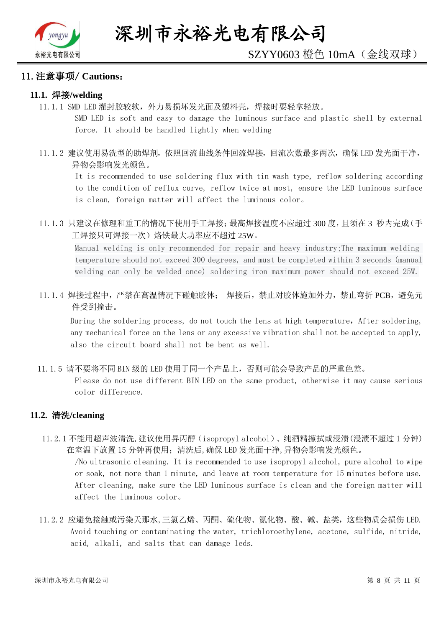

#### 11.注意事项/ **Cautions**:

#### **11.1.** 焊接**/welding**

11.1.1 SMD LED 灌封胶较软,外力易损坏发光面及塑料壳,焊接时要轻拿轻放。

SMD LED is soft and easy to damage the luminous surface and plastic shell by external force. It should be handled lightly when welding

11.1.2 建议使用易洗型的助焊剂,依照回流曲线条件回流焊接,回流次数最多两次,确保 LED 发光面干净, 异物会影响发光颜色。

It is recommended to use soldering flux with tin wash type, reflow soldering according to the condition of reflux curve, reflow twice at most, ensure the LED luminous surface is clean, foreign matter will affect the luminous color。

11.1.3 只建议在修理和重工的情况下使用手工焊接;最高焊接温度不应超过 300 度,且须在 3 秒内完成(手 工焊接只可焊接一次)烙铁最大功率应不超过 25W。

Manual welding is only recommended for repair and heavy industry;The maximum welding temperature should not exceed 300 degrees, and must be completed within 3 seconds (manual welding can only be welded once) soldering iron maximum power should not exceed 25W.

11.1.4 焊接过程中,严禁在高温情况下碰触胶体; 焊接后,禁止对胶体施加外力,禁止弯折 PCB,避免元 件受到撞击。

During the soldering process, do not touch the lens at high temperature, After soldering, any mechanical force on the lens or any excessive vibration shall not be accepted to apply, also the circuit board shall not be bent as well.

11.1.5 请不要将不同 BIN 级的 LED 使用于同一个产品上,否则可能会导致产品的严重色差。

Please do not use different BIN LED on the same product, otherwise it may cause serious color difference.

#### **11.2.** 清洗**/cleaning**

11.2.1 不能用超声波清洗,建议使用异丙醇(isopropyl alcohol)、纯酒精擦拭或浸渍(浸渍不超过 1 分钟) 在室温下放置 15 分钟再使用;清洗后,确保 LED 发光面干净,异物会影响发光颜色。

/No ultrasonic cleaning. It is recommended to use isopropyl alcohol, pure alcohol to wipe or soak, not more than 1 minute, and leave at room temperature for 15 minutes before use. After cleaning, make sure the LED luminous surface is clean and the foreign matter will affect the luminous color。

11.2.2 应避免接触或污染天那水,三氯乙烯、丙酮、硫化物、氮化物、酸、碱、盐类,这些物质会损伤 LED. Avoid touching or contaminating the water, trichloroethylene, acetone, sulfide, nitride, acid, alkali, and salts that can damage leds.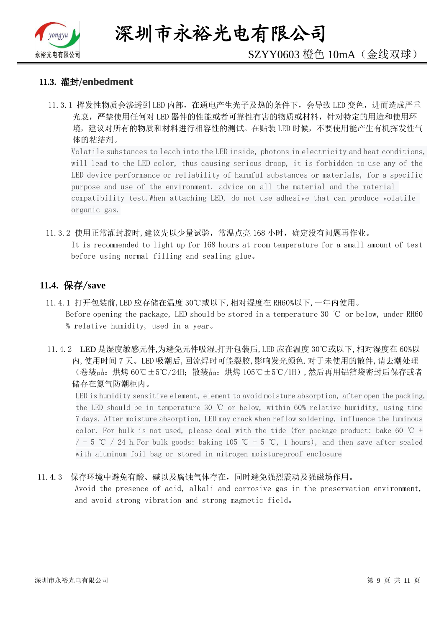

深圳市永裕光电有限公司

# SZYY0603 橙色 10mA(金线双球)

#### **11.3.** 灌封/**enbedment**

11.3.1 挥发性物质会渗透到 LED 内部, 在通电产生光子及热的条件下, 会导致 LED 变色, 进而造成严重 光衰,严禁使用任何对 LED 器件的性能或者可靠性有害的物质或材料,针对特定的用途和使用环 境,建议对所有的物质和材料进行相容性的测试。在贴装 LED 时候,不要使用能产生有机挥发性气 体的粘结剂。

Volatile substances to leach into the LED inside, photons in electricity and heat conditions, will lead to the LED color, thus causing serious droop, it is forbidden to use any of the LED device performance or reliability of harmful substances or materials, for a specific purpose and use of the environment, advice on all the material and the material compatibility test.When attaching LED, do not use adhesive that can produce volatile organic gas.

11.3.2 使用正常灌封胶时,建议先以少量试验,常温点亮 168 小时,确定没有问题再作业。 It is recommended to light up for 168 hours at room temperature for a small amount of test before using normal filling and sealing glue。

#### **11.4.** 保存/**save**

- 11.4.1 打开包装前,LED 应存储在温度 30℃或以下,相对湿度在 RH60%以下,一年内使用。 Before opening the package, LED should be stored in a temperature 30 ℃ or below, under RH60 % relative humidity, used in a year。
- 11.4.2 LED 是湿度敏感元件,为避免元件吸湿,打开包装后,LED 应在温度 30℃或以下,相对湿度在 60%以 内,使用时间 7 天。LED 吸潮后,回流焊时可能裂胶,影响发光颜色.对于未使用的散件,请去潮处理 (卷装品:烘烤 60℃±5℃/24H;散装品:烘烤 105℃±5℃/1H),然后再用铝箔袋密封后保存或者 储存在氮气防潮柜内。

LED is humidity sensitive element, element to avoid moisture absorption, after open the packing, the LED should be in temperature 30 ℃ or below, within 60% relative humidity, using time 7 days. After moisture absorption, LED may crack when reflow soldering, influence the luminous color. For bulk is not used, please deal with the tide (for package product: bake 60  $\degree$ C +  $/$  - 5 ℃ / 24 h. For bulk goods: baking 105 ℃ + 5 ℃, 1 hours), and then save after sealed with aluminum foil bag or stored in nitrogen moistureproof enclosure

#### 11.4.3 保存环境中避免有酸、碱以及腐蚀气体存在,同时避免强烈震动及强磁场作用。

Avoid the presence of acid, alkali and corrosive gas in the preservation environment, and avoid strong vibration and strong magnetic field。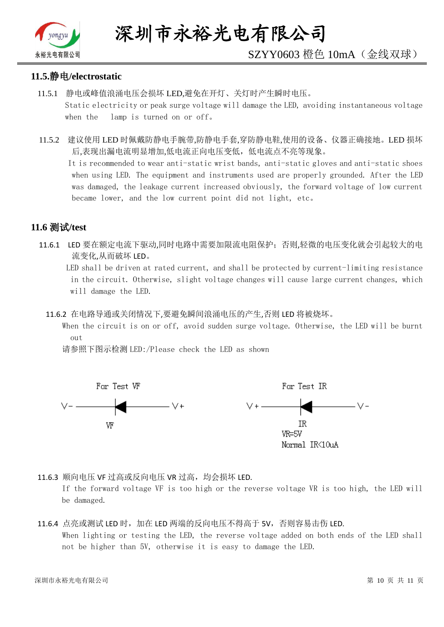

# SZYY0603 橙色 10mA(金线双球)

#### **11.5.**静电**/electrostatic**

- 11.5.1 静电或峰值浪涌电压会损坏 LED,避免在开灯、关灯时产生瞬时电压。 Static electricity or peak surge voltage will damage the LED, avoiding instantaneous voltage when the lamp is turned on or off。
- 11.5.2 建议使用 LED 时佩戴防静电手腕带,防静电手套,穿防静电鞋,使用的设备、仪器正确接地。LED 损坏 后,表现出漏电流明显增加,低电流正向电压变低,低电流点不亮等现象。

 It is recommended to wear anti-static wrist bands, anti-static gloves and anti-static shoes when using LED. The equipment and instruments used are properly grounded. After the LED was damaged, the leakage current increased obviously, the forward voltage of low current became lower, and the low current point did not light, etc。

## **11.6** 测试**/test**

11.6.1 LED 要在额定电流下驱动,同时电路中需要加限流电阻保护;否则,轻微的电压变化就会引起较大的电 流变化,从而破坏 LED。

 LED shall be driven at rated current, and shall be protected by current-limiting resistance in the circuit. Otherwise, slight voltage changes will cause large current changes, which will damage the LED.

11.6.2 在电路导通或关闭情况下,要避免瞬间浪涌电压的产生,否则 LED 将被烧坏。

 When the circuit is on or off, avoid sudden surge voltage. Otherwise, the LED will be burnt out

请参照下图示检测 LED:/Please check the LED as shown



11.6.3 顺向电压 VF 过高或反向电压 VR 过高, 均会损坏 LED.

If the forward voltage VF is too high or the reverse voltage VR is too high, the LED will be damaged.

#### 11.6.4 点亮或测试 LED 时,加在 LED 两端的反向电压不得高于 5V,否则容易击伤 LED. When lighting or testing the LED, the reverse voltage added on both ends of the LED shall not be higher than 5V, otherwise it is easy to damage the LED.